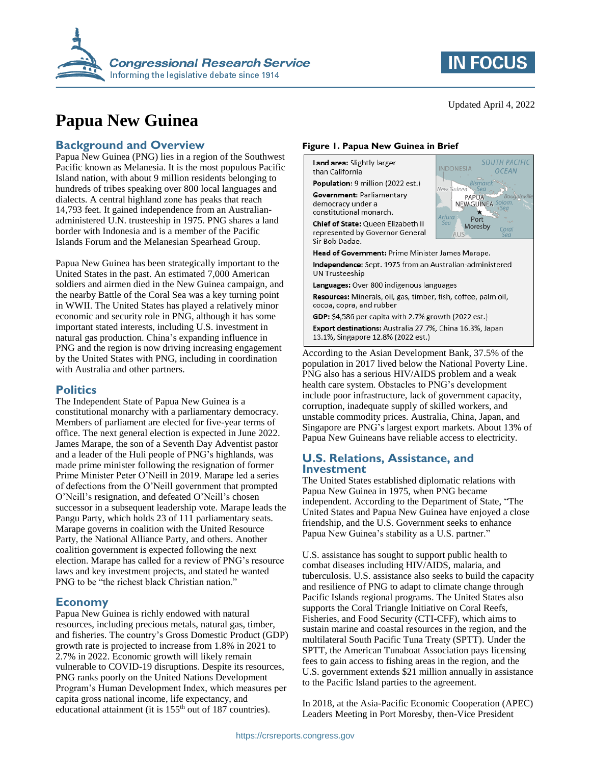

# **Papua New Guinea**

#### **Background and Overview**

Papua New Guinea (PNG) lies in a region of the Southwest Pacific known as Melanesia. It is the most populous Pacific Island nation, with about 9 million residents belonging to hundreds of tribes speaking over 800 local languages and dialects. A central highland zone has peaks that reach 14,793 feet. It gained independence from an Australianadministered U.N. trusteeship in 1975. PNG shares a land border with Indonesia and is a member of the Pacific Islands Forum and the Melanesian Spearhead Group.

Papua New Guinea has been strategically important to the United States in the past. An estimated 7,000 American soldiers and airmen died in the New Guinea campaign, and the nearby Battle of the Coral Sea was a key turning point in WWII. The United States has played a relatively minor economic and security role in PNG, although it has some important stated interests, including U.S. investment in natural gas production. China's expanding influence in PNG and the region is now driving increasing engagement by the United States with PNG, including in coordination with Australia and other partners.

#### **Politics**

The Independent State of Papua New Guinea is a constitutional monarchy with a parliamentary democracy. Members of parliament are elected for five-year terms of office. The next general election is expected in June 2022. James Marape, the son of a Seventh Day Adventist pastor and a leader of the Huli people of PNG's highlands, was made prime minister following the resignation of former Prime Minister Peter O'Neill in 2019. Marape led a series of defections from the O'Neill government that prompted O'Neill's resignation, and defeated O'Neill's chosen successor in a subsequent leadership vote. Marape leads the Pangu Party, which holds 23 of 111 parliamentary seats. Marape governs in coalition with the United Resource Party, the National Alliance Party, and others. Another coalition government is expected following the next election. Marape has called for a review of PNG's resource laws and key investment projects, and stated he wanted PNG to be "the richest black Christian nation."

#### **Economy**

Papua New Guinea is richly endowed with natural resources, including precious metals, natural gas, timber, and fisheries. The country's Gross Domestic Product (GDP) growth rate is projected to increase from 1.8% in 2021 to 2.7% in 2022. Economic growth will likely remain vulnerable to COVID-19 disruptions. Despite its resources, PNG ranks poorly on the United Nations Development Program's Human Development Index, which measures per capita gross national income, life expectancy, and educational attainment (it is 155<sup>th</sup> out of 187 countries).

#### **Figure 1. Papua New Guinea in Brief**

Land area: Slightly larger than California

Population: 9 million (2022 est.)

Government: Parliamentary democracy under a constitutional monarch.

Chief of State: Queen Elizabeth II represented by Governor General Sir Bob Dadae.



Head of Government: Prime Minister James Marape.

Independence: Sept. 1975 from an Australian-administered **UN Trusteeship** 

Languages: Over 800 indigenous languages

Resources: Minerals, oil, gas, timber, fish, coffee, palm oil, cocoa, copra, and rubber

GDP: \$4,586 per capita with 2.7% growth (2022 est.) Export destinations: Australia 27.7%, China 16.3%, Japan

13.1%, Singapore 12.8% (2022 est.)

According to the Asian Development Bank, 37.5% of the population in 2017 lived below the National Poverty Line. PNG also has a serious HIV/AIDS problem and a weak health care system. Obstacles to PNG's development include poor infrastructure, lack of government capacity, corruption, inadequate supply of skilled workers, and unstable commodity prices. Australia, China, Japan, and Singapore are PNG's largest export markets. About 13% of Papua New Guineans have reliable access to electricity.

#### **U.S. Relations, Assistance, and Investment**

The United States established diplomatic relations with Papua New Guinea in 1975, when PNG became independent. According to the Department of State, "The United States and Papua New Guinea have enjoyed a close friendship, and the U.S. Government seeks to enhance Papua New Guinea's stability as a U.S. partner."

U.S. assistance has sought to support public health to combat diseases including HIV/AIDS, malaria, and tuberculosis. U.S. assistance also seeks to build the capacity and resilience of PNG to adapt to climate change through Pacific Islands regional programs. The United States also supports the Coral Triangle Initiative on Coral Reefs, Fisheries, and Food Security (CTI-CFF), which aims to sustain marine and coastal resources in the region, and the multilateral South Pacific Tuna Treaty (SPTT). Under the SPTT, the American Tunaboat Association pays licensing fees to gain access to fishing areas in the region, and the U.S. government extends \$21 million annually in assistance to the Pacific Island parties to the agreement.

In 2018, at the Asia-Pacific Economic Cooperation (APEC) Leaders Meeting in Port Moresby, then-Vice President

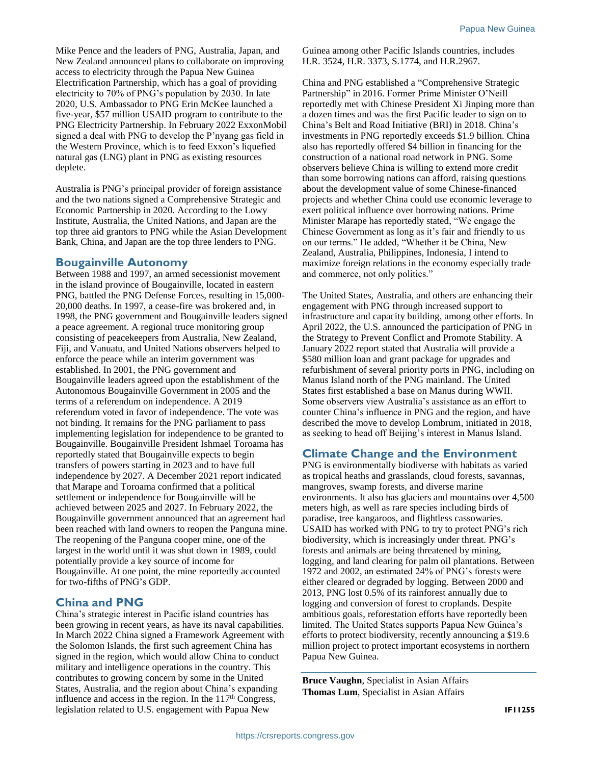Mike Pence and the leaders of PNG, Australia, Japan, and New Zealand announced plans to collaborate on improving access to electricity through the Papua New Guinea Electrification Partnership, which has a goal of providing electricity to 70% of PNG's population by 2030. In late 2020, U.S. Ambassador to PNG Erin McKee launched a five-year, \$57 million USAID program to contribute to the PNG Electricity Partnership. In February 2022 ExxonMobil signed a deal with PNG to develop the P'nyang gas field in the Western Province, which is to feed Exxon's liquefied natural gas (LNG) plant in PNG as existing resources deplete.

Australia is PNG's principal provider of foreign assistance and the two nations signed a Comprehensive Strategic and Economic Partnership in 2020. According to the Lowy Institute, Australia, the United Nations, and Japan are the top three aid grantors to PNG while the Asian Development Bank, China, and Japan are the top three lenders to PNG.

#### **Bougainville Autonomy**

Between 1988 and 1997, an armed secessionist movement in the island province of Bougainville, located in eastern PNG, battled the PNG Defense Forces, resulting in 15,000- 20,000 deaths. In 1997, a cease-fire was brokered and, in 1998, the PNG government and Bougainville leaders signed a peace agreement. A regional truce monitoring group consisting of peacekeepers from Australia, New Zealand, Fiji, and Vanuatu, and United Nations observers helped to enforce the peace while an interim government was established. In 2001, the PNG government and Bougainville leaders agreed upon the establishment of the Autonomous Bougainville Government in 2005 and the terms of a referendum on independence. A 2019 referendum voted in favor of independence. The vote was not binding. It remains for the PNG parliament to pass implementing legislation for independence to be granted to Bougainville. Bougainville President Ishmael Toroama has reportedly stated that Bougainville expects to begin transfers of powers starting in 2023 and to have full independence by 2027. A December 2021 report indicated that Marape and Toroama confirmed that a political settlement or independence for Bougainville will be achieved between 2025 and 2027. In February 2022, the Bougainville government announced that an agreement had been reached with land owners to reopen the Panguna mine. The reopening of the Panguna cooper mine, one of the largest in the world until it was shut down in 1989, could potentially provide a key source of income for Bougainville. At one point, the mine reportedly accounted for two-fifths of PNG's GDP.

#### **China and PNG**

China's strategic interest in Pacific island countries has been growing in recent years, as have its naval capabilities. In March 2022 China signed a Framework Agreement with the Solomon Islands, the first such agreement China has signed in the region, which would allow China to conduct military and intelligence operations in the country. This contributes to growing concern by some in the United States, Australia, and the region about China's expanding influence and access in the region. In the  $117<sup>th</sup>$  Congress, legislation related to U.S. engagement with Papua New

Guinea among other Pacific Islands countries, includes H.R. 3524, H.R. 3373, S.1774, and H.R.2967.

China and PNG established a "Comprehensive Strategic Partnership" in 2016. Former Prime Minister O'Neill reportedly met with Chinese President Xi Jinping more than a dozen times and was the first Pacific leader to sign on to China's Belt and Road Initiative (BRI) in 2018. China's investments in PNG reportedly exceeds \$1.9 billion. China also has reportedly offered \$4 billion in financing for the construction of a national road network in PNG. Some observers believe China is willing to extend more credit than some borrowing nations can afford, raising questions about the development value of some Chinese-financed projects and whether China could use economic leverage to exert political influence over borrowing nations. Prime Minister Marape has reportedly stated, "We engage the Chinese Government as long as it's fair and friendly to us on our terms." He added, "Whether it be China, New Zealand, Australia, Philippines, Indonesia, I intend to maximize foreign relations in the economy especially trade and commerce, not only politics."

The United States, Australia, and others are enhancing their engagement with PNG through increased support to infrastructure and capacity building, among other efforts. In April 2022, the U.S. announced the participation of PNG in the Strategy to Prevent Conflict and Promote Stability. A January 2022 report stated that Australia will provide a \$580 million loan and grant package for upgrades and refurbishment of several priority ports in PNG, including on Manus Island north of the PNG mainland. The United States first established a base on Manus during WWII. Some observers view Australia's assistance as an effort to counter China's influence in PNG and the region, and have described the move to develop Lombrum, initiated in 2018, as seeking to head off Beijing's interest in Manus Island.

### **Climate Change and the Environment**

PNG is environmentally biodiverse with habitats as varied as tropical heaths and grasslands, cloud forests, savannas, mangroves, swamp forests, and diverse marine environments. It also has glaciers and mountains over 4,500 meters high, as well as rare species including birds of paradise, tree kangaroos, and flightless cassowaries. USAID has worked with PNG to try to protect PNG's rich biodiversity, which is increasingly under threat. PNG's forests and animals are being threatened by mining, logging, and land clearing for palm oil plantations. Between 1972 and 2002, an estimated 24% of PNG's forests were either cleared or degraded by logging. Between 2000 and 2013, PNG lost 0.5% of its rainforest annually due to logging and conversion of forest to croplands. Despite ambitious goals, reforestation efforts have reportedly been limited. The United States supports Papua New Guinea's efforts to protect biodiversity, recently announcing a \$19.6 million project to protect important ecosystems in northern Papua New Guinea.

**Bruce Vaughn**, Specialist in Asian Affairs **Thomas Lum**, Specialist in Asian Affairs